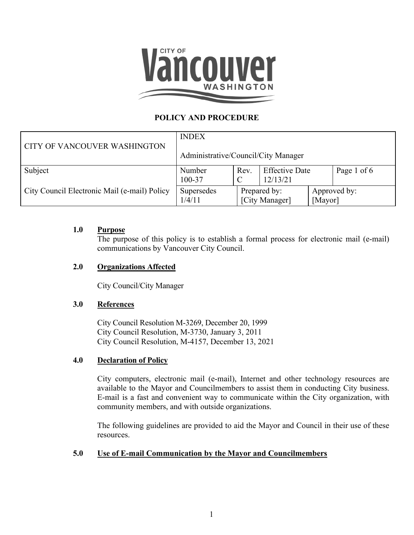

# **POLICY AND PROCEDURE**

|                                              | <b>INDEX</b>                        |                                |                                   |                         |             |
|----------------------------------------------|-------------------------------------|--------------------------------|-----------------------------------|-------------------------|-------------|
| CITY OF VANCOUVER WASHINGTON                 | Administrative/Council/City Manager |                                |                                   |                         |             |
| Subject                                      | Number<br>100-37                    | Rev.                           | <b>Effective Date</b><br>12/13/21 |                         | Page 1 of 6 |
| City Council Electronic Mail (e-mail) Policy | Supersedes<br>1/4/11                | Prepared by:<br>[City Manager] |                                   | Approved by:<br>[Mayor] |             |

## **1.0 Purpose**

The purpose of this policy is to establish a formal process for electronic mail (e-mail) communications by Vancouver City Council.

## **2.0 Organizations Affected**

City Council/City Manager

#### **3.0 References**

City Council Resolution M-3269, December 20, 1999 City Council Resolution, M-3730, January 3, 2011 City Council Resolution, M-4157, December 13, 2021

#### **4.0 Declaration of Policy**

City computers, electronic mail (e-mail), Internet and other technology resources are available to the Mayor and Councilmembers to assist them in conducting City business. E-mail is a fast and convenient way to communicate within the City organization, with community members, and with outside organizations.

The following guidelines are provided to aid the Mayor and Council in their use of these resources.

# **5.0 Use of E-mail Communication by the Mayor and Councilmembers**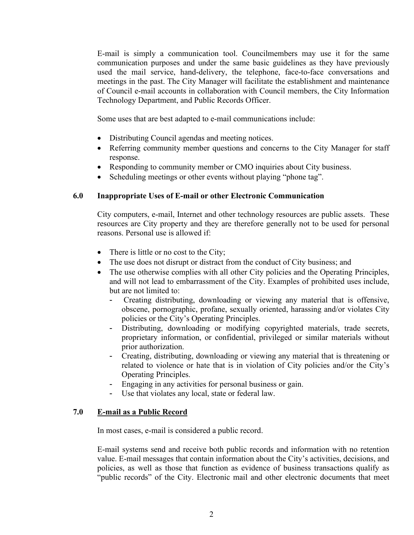E-mail is simply a communication tool. Councilmembers may use it for the same communication purposes and under the same basic guidelines as they have previously used the mail service, hand-delivery, the telephone, face-to-face conversations and meetings in the past. The City Manager will facilitate the establishment and maintenance of Council e-mail accounts in collaboration with Council members, the City Information Technology Department, and Public Records Officer.

Some uses that are best adapted to e-mail communications include:

- Distributing Council agendas and meeting notices.
- Referring community member questions and concerns to the City Manager for staff response.
- Responding to community member or CMO inquiries about City business.
- Scheduling meetings or other events without playing "phone tag".

#### **6.0 Inappropriate Uses of E-mail or other Electronic Communication**

City computers, e-mail, Internet and other technology resources are public assets. These resources are City property and they are therefore generally not to be used for personal reasons. Personal use is allowed if:

- There is little or no cost to the City;
- The use does not disrupt or distract from the conduct of City business; and
- The use otherwise complies with all other City policies and the Operating Principles, and will not lead to embarrassment of the City. Examples of prohibited uses include, but are not limited to:
	- Creating distributing, downloading or viewing any material that is offensive, obscene, pornographic, profane, sexually oriented, harassing and/or violates City policies or the City's Operating Principles.
	- Distributing, downloading or modifying copyrighted materials, trade secrets, proprietary information, or confidential, privileged or similar materials without prior authorization.
	- Creating, distributing, downloading or viewing any material that is threatening or related to violence or hate that is in violation of City policies and/or the City's Operating Principles.
	- Engaging in any activities for personal business or gain.
	- Use that violates any local, state or federal law.

#### **7.0 E-mail as a Public Record**

In most cases, e-mail is considered a public record.

E-mail systems send and receive both public records and information with no retention value. E-mail messages that contain information about the City's activities, decisions, and policies, as well as those that function as evidence of business transactions qualify as "public records" of the City. Electronic mail and other electronic documents that meet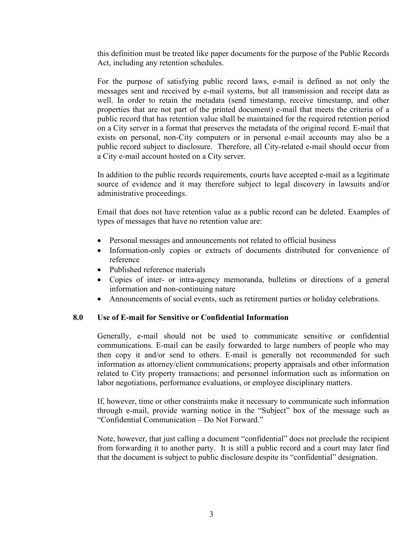this definition must be treated like paper documents for the purpose of the Public Records Act, including any retention schedules.

For the purpose of satisfying public record laws, e-mail is defined as not only the messages sent and received by e-mail systems, but all transmission and receipt data as well. In order to retain the metadata (send timestamp, receive timestamp, and other properties that are not part of the printed document) e-mail that meets the criteria of a public record that has retention value shall be maintained for the required retention period on a City server in a format that preserves the metadata of the original record. E-mail that exists on personal, non-City computers or in personal e-mail accounts may also be a public record subject to disclosure. Therefore, all City-related e-mail should occur from a City e-mail account hosted on a City server.

In addition to the public records requirements, courts have accepted e-mail as a legitimate source of evidence and it may therefore subject to legal discovery in lawsuits and/or administrative proceedings.

Email that does not have retention value as a public record can be deleted. Examples of types of messages that have no retention value are:

- Personal messages and announcements not related to official business
- Information-only copies or extracts of documents distributed for convenience of reference
- Published reference materials
- Copies of inter- or intra-agency memoranda, bulletins or directions of a general information and non-continuing nature
- Announcements of social events, such as retirement parties or holiday celebrations.

#### **8.0 Use of E-mail for Sensitive or Confidential Information**

Generally, e-mail should not be used to communicate sensitive or confidential communications. E-mail can be easily forwarded to large numbers of people who may then copy it and/or send to others. E-mail is generally not recommended for such information as attorney/client communications; property appraisals and other information related to City property transactions; and personnel information such as information on labor negotiations, performance evaluations, or employee disciplinary matters.

If, however, time or other constraints make it necessary to communicate such information through e-mail, provide warning notice in the "Subject" box of the message such as "Confidential Communication – Do Not Forward."

Note, however, that just calling a document "confidential" does not preclude the recipient from forwarding it to another party. It is still a public record and a court may later find that the document is subject to public disclosure despite its "confidential" designation.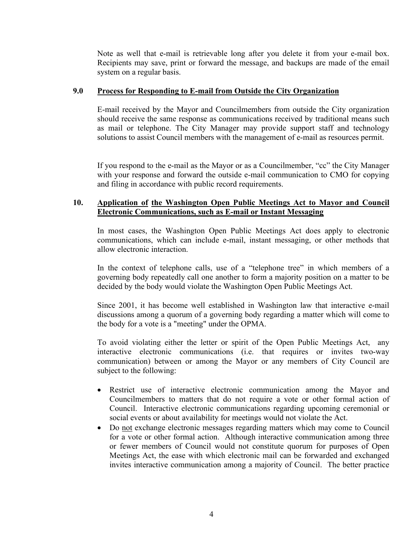Note as well that e-mail is retrievable long after you delete it from your e-mail box. Recipients may save, print or forward the message, and backups are made of the email system on a regular basis.

#### **9.0 Process for Responding to E-mail from Outside the City Organization**

E-mail received by the Mayor and Councilmembers from outside the City organization should receive the same response as communications received by traditional means such as mail or telephone. The City Manager may provide support staff and technology solutions to assist Council members with the management of e-mail as resources permit.

If you respond to the e-mail as the Mayor or as a Councilmember, "cc" the City Manager with your response and forward the outside e-mail communication to CMO for copying and filing in accordance with public record requirements.

## **10. Application of the Washington Open Public Meetings Act to Mayor and Council Electronic Communications, such as E-mail or Instant Messaging**

In most cases, the Washington Open Public Meetings Act does apply to electronic communications, which can include e-mail, instant messaging, or other methods that allow electronic interaction.

In the context of telephone calls, use of a "telephone tree" in which members of a governing body repeatedly call one another to form a majority position on a matter to be decided by the body would violate the Washington Open Public Meetings Act.

Since 2001, it has become well established in Washington law that interactive e-mail discussions among a quorum of a governing body regarding a matter which will come to the body for a vote is a "meeting" under the OPMA.

To avoid violating either the letter or spirit of the Open Public Meetings Act, any interactive electronic communications (i.e. that requires or invites two-way communication) between or among the Mayor or any members of City Council are subject to the following:

- Restrict use of interactive electronic communication among the Mayor and Councilmembers to matters that do not require a vote or other formal action of Council. Interactive electronic communications regarding upcoming ceremonial or social events or about availability for meetings would not violate the Act.
- Do not exchange electronic messages regarding matters which may come to Council for a vote or other formal action. Although interactive communication among three or fewer members of Council would not constitute quorum for purposes of Open Meetings Act, the ease with which electronic mail can be forwarded and exchanged invites interactive communication among a majority of Council. The better practice